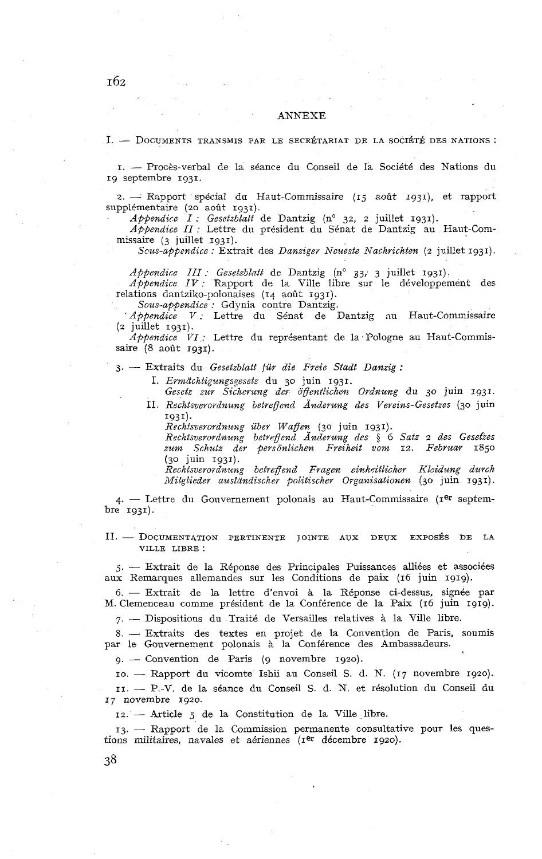## ANNEXE

## 1. - Documents transmis par le secrétariat de la société des Nations :<br>1. - Procès-verbal de la séance du Conseil de la Société des Nations du

19 septembre 1931.

2. - Rapport spécial du Haut-Commissaire  $(15 \text{ a}^{o}0t \text{ a}^{o}1)$ , et rapport supplémentaire (20 août 1931). *Appendice 1*: *Gesetzblatt* de Dantzig (n° 32, 2 juillet 1931).

*Appendice I : Gesetzblatt* de Dantzig (n° 32, 2 juillet 1931).<br>*Appendice II :* Lettre du président du Sénat de Dantzig au Haut-Commissaire (3 juillet 1931).

*Scus-appendice : Extrait des Danziger Neueste Nachrichten (2 juillet 1931).* 

*Appendice III : Gesetzblatt* de Dantzig (n° 33, 3 juillet 1931).<br> *Appendice IV :* Rapport de la Ville libre sur le développement des relations dantziko-polonaises  $(14 \text{ a}$ oût  $1931)$ .

*Sous-appendice* : Gdynia contre Dantzig. *'Appendice V* : Lettre du Sénat de Dantzig nu Haut-Commissaire **(2** juillet 1931).

*Appendice VI :* Lettre du représentant de la Pologne au Haut-Commissaire (8 août 1931).

**3.** - Extraits du *Gesetzblatt fur die Frcie Stadt Danzig* :

1. *Ermächtigungsgesetz* du 30 juin 1931.

Gesetz zur Sicherung der öffentlichen Ordnung du 30 juin 1931. II. *Rechtsverovdnung betregend Ànderung des Vereins-Gesetzes* (30 juin 1931).

*Rechtsvero~dnung uher WafTen* (30 juin 1931).

*Rechtsverordnung hetrpgend Anderung des* \$ 6 *Satz* 2 *des Gesefies zurn Schutz der Bersonlichen Freiheit vom* 12. *Fehvuar* 1850 (30 juin 1g3r).

*Rechtsveroïdnung betreflend Fragen einhcitlicher Kleidung durch ikfitglieder auslnndischer politischer Organisationen* (30 juin 1931).

 $4.$  - Lettre du Gouvernement polonais au Haut-Commissaire ( $r<sup>er</sup>$  septembre 1931).

II. - DOCUMENTATION PERTINENTE JOINTE AUX DEUX EXPOSÉS DE LA VILLE LIBRE :

5. - Extrait de la Réponse des Principales Puissances alliées et associées aux Remarques allemandes sur les Conditions de paix (16 juin 1919).

6. - Extrait de la lettre d'envoi à la Réponse ci-dessus, signée par M. Clemenceau comme président de la Conférence de la Paix (16 juin 1919). 7. - Dispositions du Traité de Versailles relatives & la Ville libre.

 $7.$  - Dispositions du Traité de Versailles relatives à la Ville libre.<br>8. -- Extraits des textes en projet de la Convention de Paris, soumis 8. — Extraits des textes en projet de la Convention de Paris,<br>par le Gouvernement polonais à la Conférence des Ambassadeurs.<br>9. — Convention de Paris (9 novembre 1920).

9. -- Convention de Paris (9 novembre 1920).<br>10. -- Rapport du vicomte Ishii au Conseil S. d. N. (17 novembre 1920).

II. - P.-V. de la séance du Conseil S. d. N. et résolution du Conseil du 17 novembre 1920.

12. - Article 5 de la Constitution de la Ville libre.

13. - Rapport de la Commission permanente consultative pour les questions militaires, navales et aériennes ( $r$ er décembre 1920).

 $\overline{162}$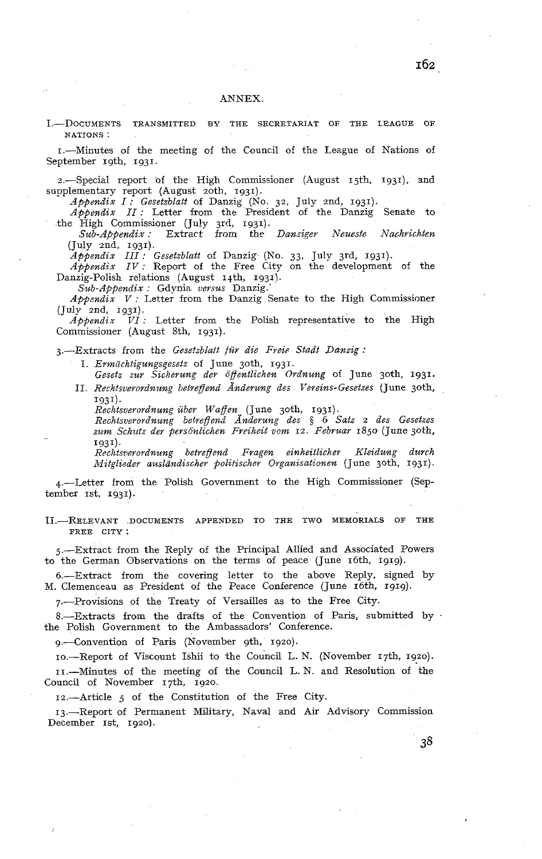I.--DOCUMENTS TRANSMITTED BY THE SECRETARIAT OF THE LEAGUE NATIONS :

1.-Minutes of the meeting of the Council of the League of Nations of September 19th, 1931.

2.-Special report of the High Commissioner (August  $15th$ ,  $1931$ ), and supplementary report (August 20th, 1931).

*Appendix I: Gesetzblatt* of Danzig (No. 32, July 2nd, 1931).

*App?ndix II:* Letter from the President of the Danzig Senate to

the High Commissioner (July 3rd. 1931).<br> *Sub-Appendix* : Extract from the *Danziger Neueste Nachrichten* (July 2nd, 1931).

*Appendix III: Gesetzblatt* of Danzig (No. 33, Jiily 3rd, 1931).

*Appendix IV:* Report of the Free City on the development of the Danzig-Polish relations (August 14th, 1931).

 $Sub-Appendix$ : Gdynia *versus* Danzig.

*Appendix V* : Letter from the Danzig Senate to the High Commissioner (July znd, 1931).

*Appendix VI* : Leiter from the Polish representative to the High Commissioner (August 8th, 1931).

3.--Extracts from the *Gesefzblaft fur die Frei? Stadt Danzig* :

1. *Ermächtigungsgesetz* of June 30th, 1931.

Gesetz zur Sicherung der öffentlichen Ordnung of June 30th, 1931. II. *Rechtsverordnung betreffend Änderung des Vereins-Gesetzes* (June 30th, 1931).

*Reclztsverordnung über Wagen* (June 3oth, 1931).

*Rechts?~erordnung bebregend Andevung des* \$ 6 *Satz* 2 *des Gesetzes*  zum Schutz der personlichen Freiheit vom 12. Februar 1850 (June 30th, 1931).<br>*Rechtsverordnung betreffend* 

*Rrclztsrierordnung betregend Fra,gen einheitlicher Kleidung durch Mitgli~der auslàndischer flolitischer Oqanisationen* (June 3oth, I 93 1).

4.-Letter from the Polish Government to the High Commissioner (September 1st, 1931).

II.—RELEVANT DOCUMENTS APPENDED TO THE TWO MEMORIALS OF THE FREE CITY:

5.-Extract from the Reply of the Principal Allied and Associated Powers to the German Observations on the terms of peace (June 16th, 1919).

6.-Extract from the covering letter to the above Reply, signed by M. Clemenceau as President of the Peace Conference (June 16th, 1919).

7.--Provisions of the Treaty of Versailles as to the Free City.

8.-Extracts from the drafts of the Convention of Paris, submitted by . the Polish Government to the Ambassadors' Conference.

9.-Convention of Paris (November gth, 1920).

IO.-Report of Viscount Ishii to the Council L. N. (November 17th, 1920). II.-Minutes of the meeting of the Council L. N. and Resolution of the Council of November 17th, 1920.

12.-Article 5 of the Constitution of the Free City.

13.-Report of Permanent Military, Naval and Air Advisory Commission December 1st, 1920).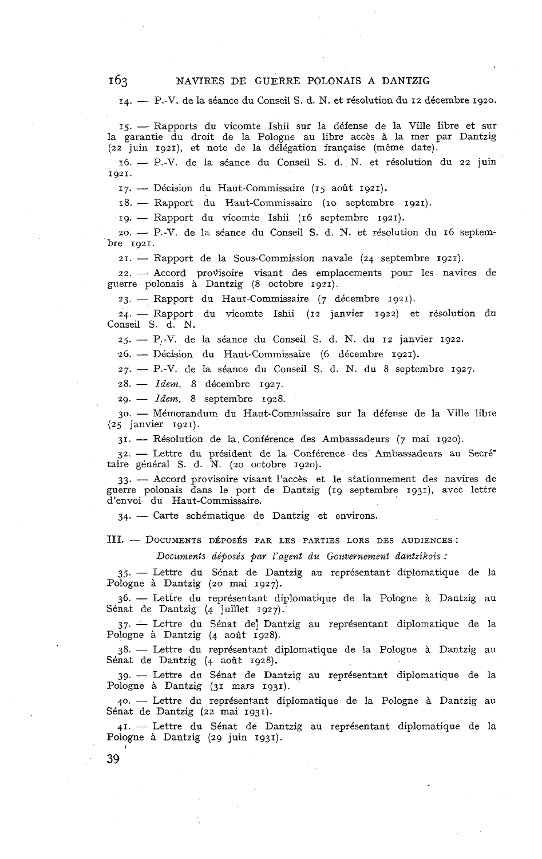14. - P.-V. de la séance du Conseil S. d. N. et résolution du 12 décembre 1920.

15. - Rapports du vicomte Ishii sur la défense de la Ville libre et sur la garantie du droit de la Pologne au libre accès à la mer par Dantzig (22 juin 1921), et note de la délégation française (même date).

16. - P.-V. de la séance du Conseil S. d. N. et résolution du 22 juin 1921.

17. - Décision du Haut-Commissaire (15 août 1921).

17. -- Décision du Haut-Commissaire (15 août 1921).<br>18. -- Rapport du Haut-Commissaire (10 septembre 1921). 19. - Boossion du Haut-Commissance (19 aout 1921).<br>18. -- Rapport du vicomte Ishii (16 septembre 1921).

19. - Rapport du vicomte Ishii (16 septembre 1921).<br>20. - P.-V. de la séance du Conseil S. d. N. et résolution du 16 septembre 1921.

21. - Rapport de la Sous-Commission navale (24 septembre 1921).

22. - Accord provisoire visant des emplacements pour les navires de guerre polonais *B* Dantzig (8 octobre 1921).

23. - Rapport du Haut-Commissaire (7 décembre 1921).

24. - Rapport du vicomte Ishii (12 janvier 1922) et résolution du Conseil S. d. N. 24. — Rapport du vicomte Ishii (12 janvier 1922) et résolutionseil S. d. N.<br>25. — P.-V. de la séance du Conseil S. d. N. du 12 janvier 1922.

25. - P.-V. de la séance du Conseil S. d. N. du 12 janv<br>26. - Décision du Haut-Commissaire (6 décembre 1921).

26. - Décision du Haut-Commissaire (6 décembre 1921).<br>27. - P.-V. de la séance du Conseil S. d. N. du 8 septembre 1927. 27. - *Decembre 14* Hade-commis<br>27. - P.-V. de la séance du Co<br>28. - *Idem*, 8 décembre 1927.

 $28. - Idem$ , 8 décembre 1927.<br>  $29. - Idem$ , 8 septembre 1928.

29. - Idem, 8 septembre 1928.<br>30. - Mémorandum du Haut-Commissaire sur la défense de la Ville libre (25 janvier 1921).

31. - Résolution de la. Conférence des Ambassadeurs (7 mai 1920).

31. - Résolution de la Conférence des Ambassadeurs (7 mai 1920).<br>
32. - Lettre du président de la Conférence des Ambassadeurs au Secrét<br>
taire général S. d. N. (20 octobre 1920).<br>
33. - Accord provisoire visant l'accès et

guerre polonais dans le port de Dantzig (19 septembre 1931). avec lettre d'envoi du Haut-Commissaire.

34. - Carte schématique de Dantzig et environs.

III. - DOCUMENTS DÉPOSÉS PAR LES PARTIES LORS DES AUDIENCES:

*Documents déposés par l'a~ent du Goztvernement dantzikois* :

35. - Lettre du Sénat de Dantzig au représentant diplomatique de la Pologne à Dantzig (20 mai 1927).

36. - Lettre du représentant diplomatique de la Pologne à Dantzig au Sénat de Dantzig (4 juillet 1927).

37. - Lettre du Sénat de Dantzig au représentant diplomatique de la Pologne à Dantzig (4 août 1928).

38. - Lettre du représentant diplomatique de Ia Pologne à Dantzig au Sénat de Dantzig (4 août 1928).

39. - Lettre du Sénat de Dantzig au représentant diplomatique de la Pologne à Dantzig (31 mars 1931).

40. -- Lettre du représentant diplomatique de la Pologne à Dantzig au Sénat de Dantzig (22 mai 1931)

41. - Lettre du Sénat de Dantzig au représentant diplomatique de la Pologne à Dantzig (29 juin 1931).

**1**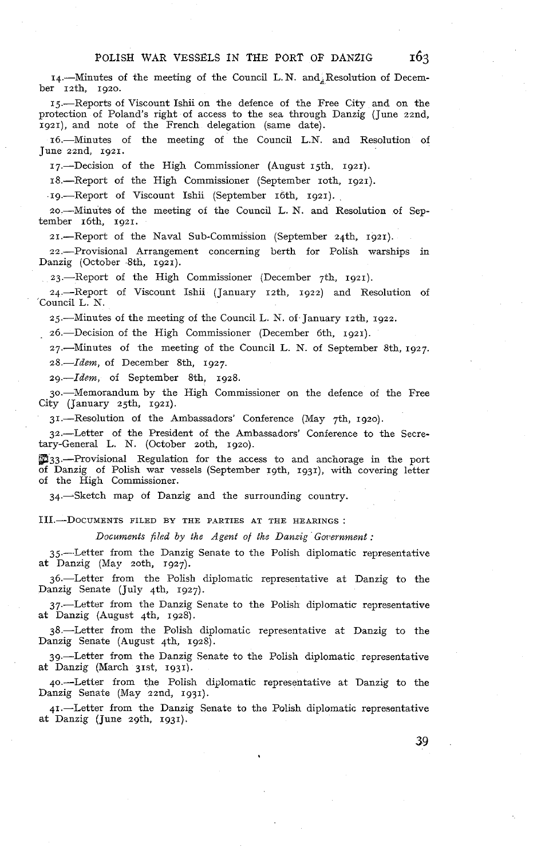$14.$ --Minutes of the meeting of the Council L.N. and Resolution of December 12th, 1920.

15.-Reports of Viscount Ishii on the defence of the Free City and on the protection of Poland's right of access to the sea through Danzig (June zznd, 1921), and note of the French delegation (same date).

16.-Minutes of the meeting of the Council L.N. and Resolution of June zznd, 1921.

17.-Decision of the High Commissioner (August 15th. 1921).

18.-Report of the High Commissioner (September 10th, 1921).

.~g.-Report of Viscount Ishii (September 16th, 1921).

20.-Minutes of the meeting of the Council L. N. and Resolution of September 16th, 1921.

21.-Report of the Naval Sub-Commission (September 24th, 1921).

22.-Provisional Arrangement concerning berth for Polish warships in Danzig (October 8th, 1921).

23.-Report of the High Commissioner (December 7th, 1921).

24.-Report of Viscount Ishii (January 12th, 1922) and Resolution of 'Council L. N.

25.-Minutes of the meeting of the Council L. N. of January 12th, 1922.

26.-Decision of the High Commissioner (December 6th, 1921).

27.-Minutes of the meeting of the Council L. N. of September 8th, 1927. 28.-Idem, of December 8th, 1927.

29.-Idem, of September 8th, 1928.

go.-Memorandum by the High Commissioner on the defence of the Free City (January 25th, 1921).

31.-Resolution of the Ambassadors' Conference (May 7th, 1920).

32.-Letter of the President of the Ambassadors' Conference to the Secretary-General L. N. (October zoth, 1920).

m33.-Provisional Regulation for the access to and anchorage in the port of Danzig of Polish war vessels (September 19th, 1931), with covering letter of the High Commissioner.

34.-Sketch map of Danzig and the surrounding country.

III.-DOCUMENTS FILED BY THE PARTIES AT THE HEARINGS :<br>Documents filed by the Agent of the Danzig Government :

35.-.Letter from the Danzig Senate to the Polish diplomatic representative at Danzig (May zoth, 1927).

36.-Letter from the Polish diplomatic representative at Danzig to the Danzig Senate (July 4th, 1927).

37.-Letter from the Danzig Senate to the Polish diplomatic representative at Danzig (August 4th. 1928)

\$%-Letter from the Polish diplomatic representative at Danzig to the Danzig Senate (August 4th, 1928).

39.-Letter from the Danzig Senate to the Polish diplomatic representative at Danzig (March 31st, 1931).

40.-Letter from the Polish diÿlomatic representative at Danzig to the Danzig Senate (May zznd, 1931).

41.-Letter from the Danzig Senate to the Polish diplomatic representative at Danzig (June zgth, 1931).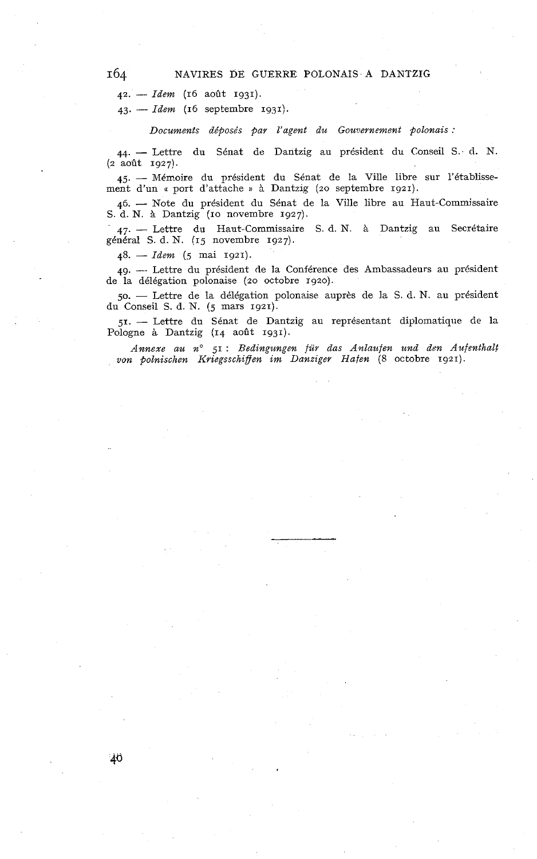**42.** - *Idem* **(16** août **1931).** 

**43.** - *Idem* **(16** septembre **1931).** 

*Documents déposés par l'agent du Gouvernement polonais :* 

**44.** - Lettre du Sénat de Dantzig au président du Conseil S. d. N. **(2** août **1927).** 

44. — Lettre du Sénat de Dantzig au président du Conseil S. d. N.<br>
(2 août 1927).<br>
45. — Mémoire du président du Sénat de la Ville libre sur l'établissement d'un « port d'attache » à Dantzig (20 septembre 1921).<br>
46. — No

S. d. N. A, Dantzig **(IO** novembre **1927).** 

46. — Note du président du Sénat de la Ville libre au Haut-Commissaire S. d. N. à Dantzig (10 novembre 1927).<br>
47. — Lettre du Haut-Commissaire S. d. N. à Dantzig au Secrétaire général S. d. N. (15 novembre 1927).<br>
48. —

49. --- Lettre du président de la Conférence des Ambassadeurs au président de la délégation polonaise **(20** octobre **1920).** 

**50.** - Lettre de la délégation polonaise auprès de la S. d. N. au président du Conseil S. d. N. **(5** mars **1921).** 

51. - Lettre du Sénat de Dantzig au représentant diplomatique de la Pologne *A* Dantzig **(14** août **1931).** 

*Annexe au no* **51** : *Bedingungen für dus Anlaufen und den Aufenthalt*  von polnischen Kriegsschiffen im Danziger Hafen (8 octobre 1921).